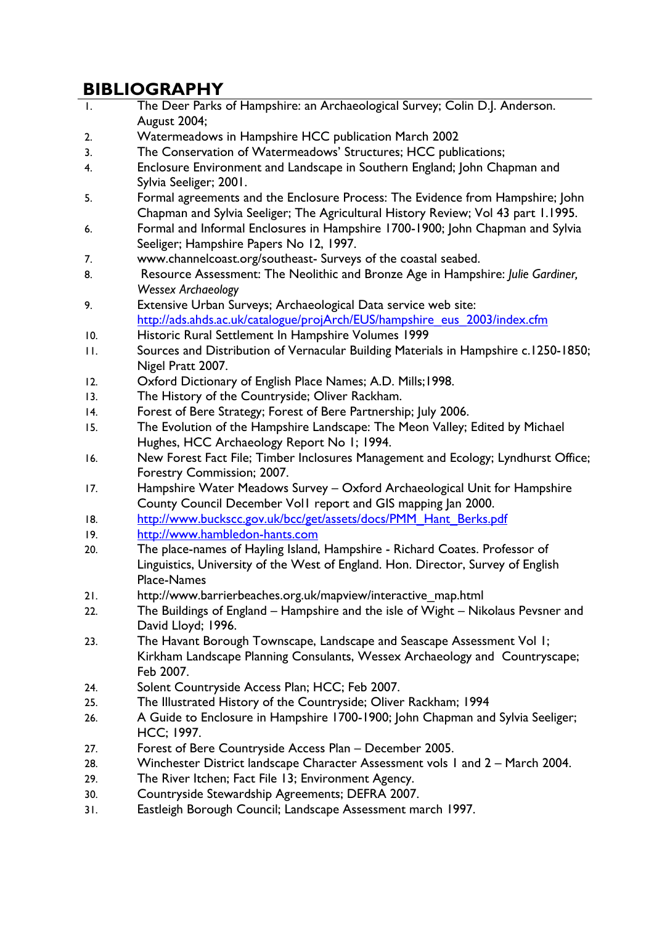## **BIBLIOGRAPHY**

- 1. The Deer Parks of Hampshire: an Archaeological Survey; Colin D.J. Anderson. August 2004;
- 2. Watermeadows in Hampshire HCC publication March 2002
- 3. The Conservation of Watermeadows' Structures; HCC publications;
- 4. Enclosure Environment and Landscape in Southern England; John Chapman and Sylvia Seeliger; 2001.
- 5. Formal agreements and the Enclosure Process: The Evidence from Hampshire; John Chapman and Sylvia Seeliger; The Agricultural History Review; Vol 43 part 1.1995.
- 6. Formal and Informal Enclosures in Hampshire 1700-1900; John Chapman and Sylvia Seeliger; Hampshire Papers No 12, 1997.
- 7. www.channelcoast.org/southeast- Surveys of the coastal seabed.
- 8. Resource Assessment: The Neolithic and Bronze Age in Hampshire: *Julie Gardiner, Wessex Archaeology*
- 9. Extensive Urban Surveys; Archaeological Data service web site: [http://ads.ahds.ac.uk/catalogue/projArch/EUS/hampshire\\_eus\\_2003/index.cfm](http://ads.ahds.ac.uk/catalogue/projArch/EUS/hampshire_eus_2003/index.cfm)
- 10. Historic Rural Settlement In Hampshire Volumes 1999
- 11. Sources and Distribution of Vernacular Building Materials in Hampshire c.1250-1850; Nigel Pratt 2007.
- 12. Oxford Dictionary of English Place Names; A.D. Mills;1998.
- 13. The History of the Countryside; Oliver Rackham.
- 14. Forest of Bere Strategy; Forest of Bere Partnership; July 2006.
- 15. The Evolution of the Hampshire Landscape: The Meon Valley; Edited by Michael Hughes, HCC Archaeology Report No 1; 1994.
- 16. New Forest Fact File; Timber Inclosures Management and Ecology; Lyndhurst Office; Forestry Commission; 2007.
- 17. Hampshire Water Meadows Survey Oxford Archaeological Unit for Hampshire County Council December Vol1 report and GIS mapping Jan 2000.
- 18. [http://www.buckscc.gov.uk/bcc/get/assets/docs/PMM\\_Hant\\_Berks.pdf](http://www.buckscc.gov.uk/bcc/get/assets/docs/PMM_Hant_Berks.pdf)
- 19. [http://www.hambledon-hants.com](http://www.hambledon-hants.com/)
- 20. The place-names of Hayling Island, Hampshire Richard Coates. Professor of Linguistics, University of the West of England. Hon. Director, Survey of English Place-Names
- 21. [http://www.barrierbeaches.org.uk/mapview/interactive\\_map.html](http://www.barrierbeaches.org.uk/mapview/interactive_map.html)
- 22. The Buildings of England Hampshire and the isle of Wight Nikolaus Pevsner and David Lloyd; 1996.
- 23. The Havant Borough Townscape, Landscape and Seascape Assessment Vol 1; Kirkham Landscape Planning Consulants, Wessex Archaeology and Countryscape; Feb 2007.
- 24. Solent Countryside Access Plan; HCC; Feb 2007.
- 25. The Illustrated History of the Countryside; Oliver Rackham; 1994
- 26. A Guide to Enclosure in Hampshire 1700-1900; John Chapman and Sylvia Seeliger; HCC; 1997.
- 27. Forest of Bere Countryside Access Plan December 2005.
- 28. Winchester District landscape Character Assessment vols 1 and 2 March 2004.
- 29. The River Itchen; Fact File 13; Environment Agency.
- 30. Countryside Stewardship Agreements; DEFRA 2007.
- 31. Eastleigh Borough Council; Landscape Assessment march 1997.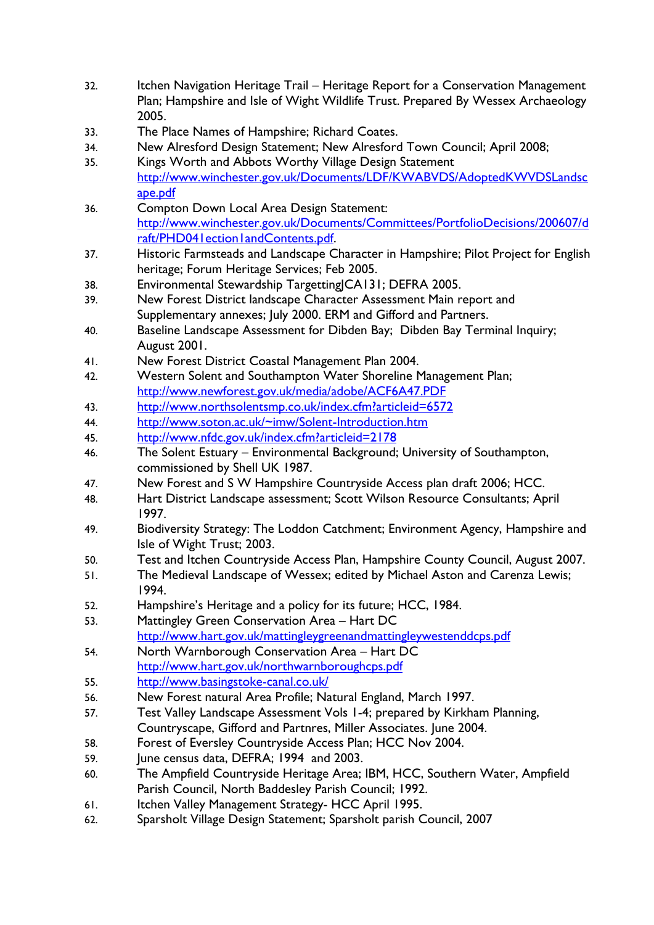- 32. Itchen Navigation Heritage Trail Heritage Report for a Conservation Management Plan; Hampshire and Isle of Wight Wildlife Trust. Prepared By Wessex Archaeology 2005.
- 33. The Place Names of Hampshire; Richard Coates.
- 34. New Alresford Design Statement; New Alresford Town Council; April 2008;
- 35. Kings Worth and Abbots Worthy Village Design Statement [http://www.winchester.gov.uk/Documents/LDF/KWABVDS/AdoptedKWVDSLandsc](http://www.winchester.gov.uk/Documents/LDF/KWABVDS/AdoptedKWVDSLandscape.pdf) [ape.pdf](http://www.winchester.gov.uk/Documents/LDF/KWABVDS/AdoptedKWVDSLandscape.pdf)
- 36. Compton Down Local Area Design Statement: [http://www.winchester.gov.uk/Documents/Committees/PortfolioDecisions/200607/d](http://www.winchester.gov.uk/Documents/Committees/PortfolioDecisions/200607/draft/PHD041ection1andContents.pdf) [raft/PHD041ection1andContents.pdf.](http://www.winchester.gov.uk/Documents/Committees/PortfolioDecisions/200607/draft/PHD041ection1andContents.pdf)
- 37. Historic Farmsteads and Landscape Character in Hampshire; Pilot Project for English heritage; Forum Heritage Services; Feb 2005.
- 38. Environmental Stewardship TargettingJCA131; DEFRA 2005.
- 39. New Forest District landscape Character Assessment Main report and Supplementary annexes; July 2000. ERM and Gifford and Partners.
- 40. Baseline Landscape Assessment for Dibden Bay; Dibden Bay Terminal Inquiry; August 2001.
- 41. New Forest District Coastal Management Plan 2004.
- 42. Western Solent and Southampton Water Shoreline Management Plan; <http://www.newforest.gov.uk/media/adobe/ACF6A47.PDF>
- 43. <http://www.northsolentsmp.co.uk/index.cfm?articleid=6572>
- 44. [http://www.soton.ac.uk/~imw/Solent-Introduction.htm](http://www.soton.ac.uk/%7Eimw/Solent-Introduction.htm)
- 45. <http://www.nfdc.gov.uk/index.cfm?articleid=2178>
- 46. The Solent Estuary Environmental Background; University of Southampton, commissioned by Shell UK 1987.
- 47. New Forest and S W Hampshire Countryside Access plan draft 2006; HCC.
- 48. Hart District Landscape assessment; Scott Wilson Resource Consultants; April 1997.
- 49. Biodiversity Strategy: The Loddon Catchment; Environment Agency, Hampshire and Isle of Wight Trust; 2003.
- 50. Test and Itchen Countryside Access Plan, Hampshire County Council, August 2007.
- 51. The Medieval Landscape of Wessex; edited by Michael Aston and Carenza Lewis; 1994.
- 52. Hampshire's Heritage and a policy for its future; HCC, 1984.
- 53. Mattingley Green Conservation Area Hart DC <http://www.hart.gov.uk/mattingleygreenandmattingleywestenddcps.pdf>
- 54. North Warnborough Conservation Area Hart DC <http://www.hart.gov.uk/northwarnboroughcps.pdf>
- 55. <http://www.basingstoke-canal.co.uk/>
- 56. New Forest natural Area Profile; Natural England, March 1997.
- 57. Test Valley Landscape Assessment Vols 1-4; prepared by Kirkham Planning, Countryscape, Gifford and Partnres, Miller Associates. June 2004.
- 58. Forest of Eversley Countryside Access Plan; HCC Nov 2004.
- 59. June census data, DEFRA; 1994 and 2003.
- 60. The Ampfield Countryside Heritage Area; IBM, HCC, Southern Water, Ampfield Parish Council, North Baddesley Parish Council; 1992.
- 61. Itchen Valley Management Strategy- HCC April 1995.
- 62. Sparsholt Village Design Statement; Sparsholt parish Council, 2007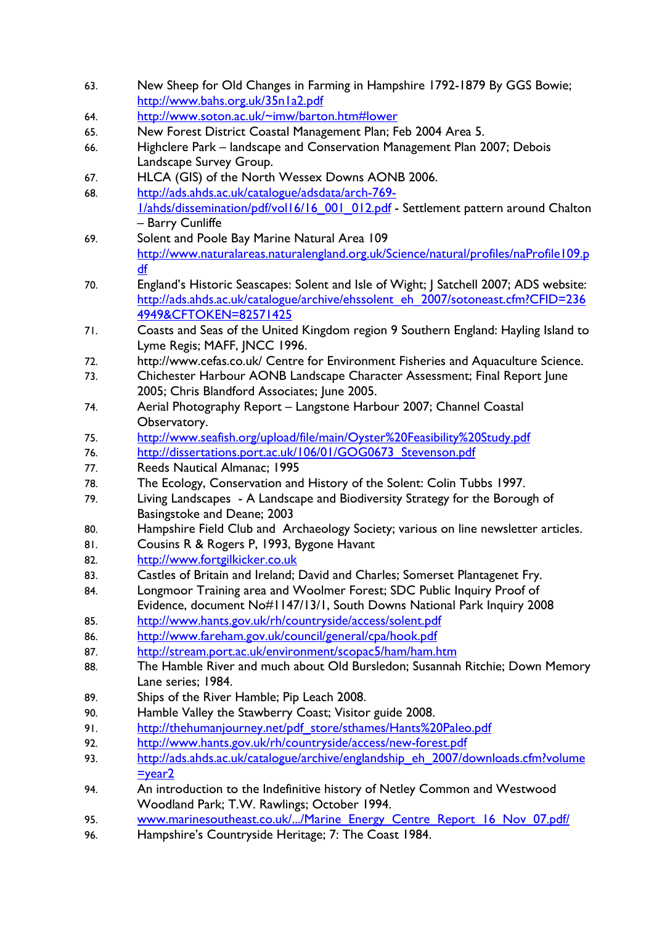- 63. New Sheep for Old Changes in Farming in Hampshire 1792-1879 By GGS Bowie; <http://www.bahs.org.uk/35n1a2.pdf>
- 64. <http://www.soton.ac.uk/~imw/barton.htm#lower>
- 65. New Forest District Coastal Management Plan; Feb 2004 Area 5.
- 66. Highclere Park landscape and Conservation Management Plan 2007; Debois Landscape Survey Group.
- 67. HLCA (GIS) of the North Wessex Downs AONB 2006.
- 68. [http://ads.ahds.ac.uk/catalogue/adsdata/arch-769-](http://ads.ahds.ac.uk/catalogue/adsdata/arch-769-1/ahds/dissemination/pdf/vol16/16_001_012.pdf) [1/ahds/dissemination/pdf/vol16/16\\_001\\_012.pdf](http://ads.ahds.ac.uk/catalogue/adsdata/arch-769-1/ahds/dissemination/pdf/vol16/16_001_012.pdf) - Settlement pattern around Chalton – Barry Cunliffe
- 69. Solent and Poole Bay Marine Natural Area 109 [http://www.naturalareas.naturalengland.org.uk/Science/natural/profiles/naProfile109.p](http://www.naturalareas.naturalengland.org.uk/Science/natural/profiles/naProfile109.pdf) [df](http://www.naturalareas.naturalengland.org.uk/Science/natural/profiles/naProfile109.pdf)
- 70. England's Historic Seascapes: Solent and Isle of Wight; J Satchell 2007; ADS website: [http://ads.ahds.ac.uk/catalogue/archive/ehssolent\\_eh\\_2007/sotoneast.cfm?CFID=236](http://ads.ahds.ac.uk/catalogue/archive/ehssolent_eh_2007/sotoneast.cfm?CFID=2364949&CFTOKEN=82571425) [4949&CFTOKEN=82571425](http://ads.ahds.ac.uk/catalogue/archive/ehssolent_eh_2007/sotoneast.cfm?CFID=2364949&CFTOKEN=82571425)
- 71. Coasts and Seas of the United Kingdom region 9 Southern England: Hayling Island to Lyme Regis; MAFF, JNCC 1996.
- 72. http://www.cefas.co.uk/ Centre for Environment Fisheries and Aquaculture Science.
- 73. Chichester Harbour AONB Landscape Character Assessment; Final Report June 2005; Chris Blandford Associates; June 2005.
- 74. Aerial Photography Report Langstone Harbour 2007; Channel Coastal Observatory.
- 75. <http://www.seafish.org/upload/file/main/Oyster%20Feasibility%20Study.pdf>
- 76. [http://dissertations.port.ac.uk/106/01/GOG0673\\_Stevenson.pdf](http://dissertations.port.ac.uk/106/01/GOG0673_Stevenson.pdf)
- 77. Reeds Nautical Almanac; 1995
- 78. The Ecology, Conservation and History of the Solent: Colin Tubbs 1997.
- 79. Living Landscapes A Landscape and Biodiversity Strategy for the Borough of Basingstoke and Deane; 2003
- 80. Hampshire Field Club and Archaeology Society; various on line newsletter articles.
- 81. Cousins R & Rogers P, 1993, Bygone Havant
- 82. [http://www.fortgilkicker.co.uk](http://www.fortgilkicker.co.uk/)
- 83. Castles of Britain and Ireland; David and Charles; Somerset Plantagenet Fry.
- 84. Longmoor Training area and Woolmer Forest; SDC Public Inquiry Proof of Evidence, document No#1147/13/1, South Downs National Park Inquiry 2008
- 85. <http://www.hants.gov.uk/rh/countryside/access/solent.pdf>
- 86. <http://www.fareham.gov.uk/council/general/cpa/hook.pdf>
- 87. <http://stream.port.ac.uk/environment/scopac5/ham/ham.htm>
- 88. The Hamble River and much about Old Bursledon; Susannah Ritchie; Down Memory Lane series; 1984.
- 89. Ships of the River Hamble; Pip Leach 2008.
- 90. Hamble Valley the Stawberry Coast; Visitor guide 2008.
- 91. [http://thehumanjourney.net/pdf\\_store/sthames/Hants%20Paleo.pdf](http://thehumanjourney.net/pdf_store/sthames/Hants%20Paleo.pdf)
- 92. <http://www.hants.gov.uk/rh/countryside/access/new-forest.pdf>
- 93. [http://ads.ahds.ac.uk/catalogue/archive/englandship\\_eh\\_2007/downloads.cfm?volume](http://ads.ahds.ac.uk/catalogue/archive/englandship_eh_2007/downloads.cfm?volume=year2)  $=$ year $2$
- 94. An introduction to the Indefinitive history of Netley Common and Westwood Woodland Park; T.W. Rawlings; October 1994.
- 95. [www.marinesoutheast.co.uk/.../Marine\\_Energy\\_Centre\\_Report\\_16\\_Nov\\_07.pdf/](http://www.marinesoutheast.co.uk/.../Marine_Energy_Centre_Report_16_Nov_07.pdf/)
- 96. Hampshire's Countryside Heritage; 7: The Coast 1984.